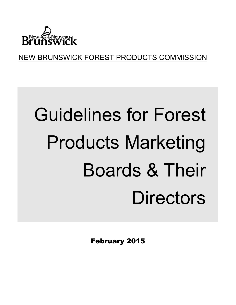

NEW BRUNSWICK FOREST PRODUCTS COMMISSION

# Guidelines for Forest Products Marketing Boards & Their **Directors**

February 2015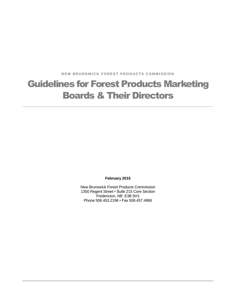**NEW BRUNSWICK FOREST PRODUCTS COMMISSION** 

# Guidelines for Forest Products Marketing Boards & Their Directors

**February 2015**

New Brunswick Forest Products Commission 1350 Regent Street • Suite 215 Core Section Fredericton, NB E3B 5H1 Phone 506.453.2196 • Fax 506.457.4966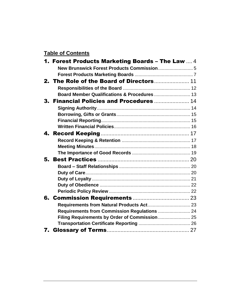#### **Table of Contents**

| <b>1. Forest Products Marketing Boards - The Law 4</b><br>2. The Role of the Board of Directors 11<br>3. Financial Policies and Procedures  14<br>Requirements from Commission Regulations  24<br>Filing Requirements by Order of Commission 25 |
|-------------------------------------------------------------------------------------------------------------------------------------------------------------------------------------------------------------------------------------------------|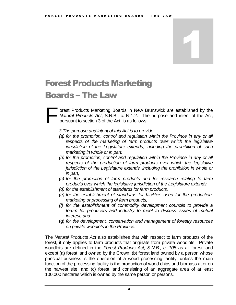### <span id="page-3-0"></span>Forest Products Marketing

### Boards – The Law

orest Products Marketing Boards in New Brunswick are established by the *Natural Products Act*, S.N.B., c. N-1.2. The purpose and intent of the Act, pursuant to section 3 of the Act, is as follows: F

- *3 The purpose and intent of this Act is to provide:*
- *(a) for the promotion, control and regulation within the Province in any or all*  respects of the marketing of farm products over which the legislative *jurisdiction of the Legislature extends, including the prohibition of such marketing in whole or in part,*
- *(b) for the promotion, control and regulation within the Province in any or all*  respects of the production of farm products over which the legislative *jurisdiction of the Legislature extends, including the prohibition in whole or in part,*
- *(c) for the promotion of farm products and for research relating to farm products over which the legislative jurisdiction of the Legislature extends,*
- *(d) for the establishment of standards for farm products,*
- *(e) for the establishment of standards for facilities used for the production, marketing or processing of farm products,*
- *(f) for the establishment of commodity development councils to provide a forum for producers and industry to meet to discuss issues of mutual interest, and*
- (g) *for the development, conservation and management of forestry resources on private woodlots in the Province.*

The *Natural Products Act* also establishes that with respect to farm products of the forest, it only applies to farm products that originate from private woodlots. Private woodlots are defined in the *Forest Products Act, S.N.B., c. 105* as all forest land except (a) forest land owned by the Crown; (b) forest land owned by a person whose principal business is the operation of a wood processing facility, unless the main function of the processing facility is the production of wood chips and biomass at or on the harvest site; and (c) forest land consisting of an aggregate area of at least 100,000 hectares which is owned by the same person or persons.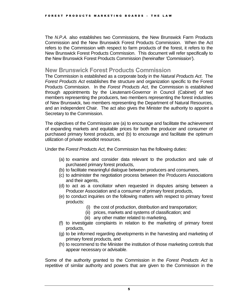The *N.P.A.* also establishes two Commissions, the New Brunswick Farm Products Commission and the New Brunswick Forest Products Commission. When the Act refers to the Commission with respect to farm products of the forest, it refers to the New Brunswick Forest Products Commission. This document will refer specifically to the New Brunswick Forest Products Commission (hereinafter *'Commission'*).

#### <span id="page-4-0"></span>**New Brunswick Forest Products Commission**

The Commission is established as a corporate body in the *Natural Products Act*. The *Forest Products Act* establishes the structure and organization specific to the Forest Products Commission. In the *Forest Products Act*, the Commission is established through appointments by the Lieutenant-Governor in Council (Cabinet) of two members representing the producers, two members representing the forest industries of New Brunswick, two members representing the Department of Natural Resources, and an independent Chair. The act also gives the Minister the authority to appoint a Secretary to the Commission.

The objectives of the Commission are (a) to encourage and facilitate the achievement of expanding markets and equitable prices for both the producer and consumer of purchased primary forest products, and (b) to encourage and facilitate the optimum utilization of private woodlot resources.

Under the *Forest Products Act*, the Commission has the following duties:

- (a) to examine and consider data relevant to the production and sale of purchased primary forest products,
- (b) to facilitate meaningful dialogue between producers and consumers,
- (c) to administer the negotiation process between the Producers Associations and their agents,
- (d) to act as a conciliator when requested in disputes arising between a Producer Association and a consumer of primary forest products,
- (e) to conduct inquiries on the following matters with respect to primary forest products:
	- (i) the cost of production, distribution and transportation;
	- (ii) prices, markets and systems of classification; and
	- (iii) any other matter related to marketing,
- (f) to investigate complaints in relation to the marketing of primary forest products,
- (g) to be informed regarding developments in the harvesting and marketing of primary forest products, and
- (h) to recommend to the Minister the institution of those marketing controls that appear necessary or advisable.

Some of the authority granted to the Commission in the *Forest Products Act* is repetitive of similar authority and powers that are given to the Commission in the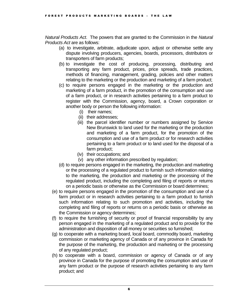*Natural Products Act*. The powers that are granted to the Commission in the *Natural Products Act* are as follows:

- (a) to investigate, arbitrate, adjudicate upon, adjust or otherwise settle any dispute involving producers, agencies, boards, processors, distributors or transporters of farm products;
- (b) to investigate the cost of producing, processing, distributing and transporting any farm product, prices, price spreads, trade practices, methods of financing, management, grading, policies and other matters relating to the marketing or the production and marketing of a farm product;
- (c) to require persons engaged in the marketing or the production and marketing of a farm product, in the promotion of the consumption and use of a farm product, or in research activities pertaining to a farm product to register with the Commission, agency, board, a Crown corporation or another body or person the following information:
	- (i) their names;
	- (ii) their addresses;
	- (iii) the parcel identifier number or numbers assigned by Service New Brunswick to land used for the marketing or the production and marketing of a farm product, for the promotion of the consumption and use of a farm product or for research activities pertaining to a farm product or to land used for the disposal of a farm product;
	- (iv) their occupations; and
	- (v) any other information prescribed by regulation;
- (d) to require persons engaged in the marketing, the production and marketing or the processing of a regulated product to furnish such information relating to the marketing, the production and marketing or the processing of the regulated product, including the completing and filing of reports or returns on a periodic basis or otherwise as the Commission or board determines;
- (e) to require persons engaged in the promotion of the consumption and use of a farm product or in research activities pertaining to a farm product to furnish such information relating to such promotion and activities, including the completing and filing of reports or returns on a periodic basis or otherwise as the Commission or agency determines;
- (f) to require the furnishing of security or proof of financial responsibility by any person engaged in the marketing of a regulated product and to provide for the administration and disposition of all money or securities so furnished;
- (g) to cooperate with a marketing board, local board, commodity board, marketing commission or marketing agency of Canada or of any province in Canada for the purpose of the marketing, the production and marketing or the processing of any regulated product;
- (h) to cooperate with a board, commission or agency of Canada or of any province in Canada for the purpose of promoting the consumption and use of any farm product or the purpose of research activities pertaining to any farm product; and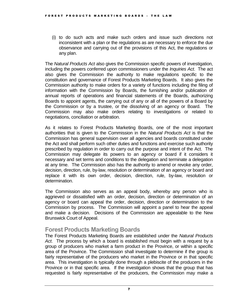(i) to do such acts and make such orders and issue such directions not inconsistent with a plan or the regulations as are necessary to enforce the due observance and carrying out of the provisions of this Act, the regulations or any plan.

The *Natural Products Act* also gives the Commission specific powers of investigation, including the powers conferred upon commissioners under the *Inquiries Act*. The act also gives the Commission the authority to make regulations specific to the constitution and governance of Forest Products Marketing Boards. It also gives the Commission authority to make orders for a variety of functions including the filing of information with the Commission by Boards, the furnishing and/or publication of annual reports of operations and financial statements of the Boards, authorizing Boards to appoint agents, the carrying out of any or all of the powers of a Board by the Commission or by a trustee, or the dissolving of an agency or Board. The Commission may also make orders relating to investigations or related to negotiations, conciliation or arbitration.

As it relates to Forest Products Marketing Boards, one of the most important authorities that is given to the Commission in the *Natural Products Act* is that the Commission has general supervision over all agencies and boards constituted under the Act and shall perform such other duties and functions and exercise such authority prescribed by regulation in order to carry out the purpose and intent of the Act. The Commission may delegate its powers to an agency or board if it considers it necessary and set terms and conditions to the delegation and terminate a delegation at any time. The Commission also has the authority to amend or revoke any order, decision, direction, rule, by-law, resolution or determination of an agency or board and replace it with its own order, decision, direction, rule, by-law, resolution or determination.

The Commission also serves as an appeal body, whereby any person who is aggrieved or dissatisfied with an order, decision, direction or determination of an agency or board can appeal the order, decision, direction or determination to the Commission by process. The Commission will appoint a panel to hear the appeal and make a decision. Decisions of the Commission are appealable to the New Brunswick Court of Appeal.

#### <span id="page-6-0"></span>**Forest Products Marketing Boards**

The Forest Products Marketing Boards are established under the *Natural Products Act*. The process by which a board is established must begin with a request by a group of producers who market a farm product in the Province, or within a specific area of the Province. The Commission shall investigate to determine if the group is fairly representative of the producers who market in the Province or in that specific area. This investigation is typically done through a plebiscite of the producers in the Province or in that specific area. If the investigation shows that the group that has requested is fairly representative of the producers, the Commission may make a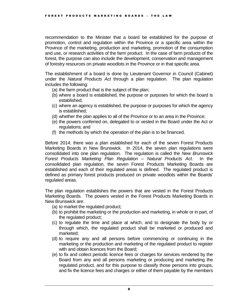recommendation to the Minister that a board be established for the purpose of promotion, control and regulation within the Province or a specific area within the Province of the marketing, production and marketing, promotion of the consumption and use, or research activities of the farm product. In the case of farm products of the forest, the purpose can also include the development, conservation and management of forestry resources on private woodlots in the Province or in that specific area.

The establishment of a board is done by Lieutenant Governor in Council (Cabinet) under the *Natural Products Act* through a plan regulation. The plan regulation includes the following:

- (a) the farm product that is the subject of the plan;
- (b) where a board is established, the purpose or purposes for which the board is established;
- (c) where an agency is established, the purpose or purposes for which the agency is established;
- (d) whether the plan applies to all of the Province or to an area in the Province;
- (e) the powers conferred on, delegated to or vested in the Board under the Act or regulations; and
- (f) the methods by which the operation of the plan is to be financed.

Before 2014, there was a plan established for each of the seven Forest Products Marketing Boards in New Brunswick. In 2014, the seven plan regulations were consolidated into one plan regulation. The regulation is called the *New Brunswick Forest Products Marketing Plan Regulation – Natural Products Act*. In the consolidated plan regulation, the seven Forest Products Marketing Boards are established and each of their regulated areas is defined. The regulated product is defined as primary forest products produced on private woodlots within the Boards' regulated areas.

The plan regulation establishes the powers that are vested in the Forest Products Marketing Boards. The powers vested in the Forest Products Marketing Boards in New Brunswick are:

- (a) to market the regulated product;
- (b) to prohibit the marketing or the production and marketing, in whole or in part, of the regulated product;
- (c) to regulate the time and place at which, and to designate the body by or through which, the regulated product shall be marketed or produced and marketed;
- (d) to require any and all persons before commencing or continuing in the marketing or the production and marketing of the regulated product to register with and obtain licences from the Board;
- (e) to fix and collect periodic licence fees or charges for services rendered by the Board from any and all persons marketing or producing and marketing the regulated product, and for this purpose to classify those persons into groups, and fix the licence fees and charges or either of them payable by the members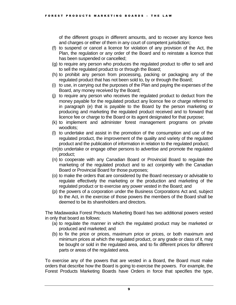of the different groups in different amounts, and to recover any licence fees and charges or either of them in any court of competent jurisdiction;

- (f) to suspend or cancel a licence for violation of any provision of the Act, the Plan, the regulation or any order of the Board and to reinstate a licence that has been suspended or cancelled;
- (g) to require any person who produces the regulated product to offer to sell and to sell the regulated product to or through the Board;
- (h) to prohibit any person from processing, packing or packaging any of the regulated product that has not been sold to, by or through the Board;
- (i) to use, in carrying out the purposes of the Plan and paying the expenses of the Board, any money received by the Board;
- (j) to require any person who receives the regulated product to deduct from the money payable for the regulated product any licence fee or charge referred to in paragraph (e) that is payable to the Board by the person marketing or producing and marketing the regulated product received and to forward that licence fee or charge to the Board or its agent designated for that purpose;
- (k) to implement and administer forest management programs on private woodlots;
- (l) to undertake and assist in the promotion of the consumption and use of the regulated product, the improvement of the quality and variety of the regulated product and the publication of information in relation to the regulated product;
- (m)to undertake or engage other persons to advertise and promote the regulated product;
- (n) to cooperate with any Canadian Board or Provincial Board to regulate the marketing of the regulated product and to act conjointly with the Canadian Board or Provincial Board for those purposes;
- (o) to make the orders that are considered by the Board necessary or advisable to regulate effectively the marketing or the production and marketing of the regulated product or to exercise any power vested in the Board; and
- (p) the powers of a corporation under the Business Corporations Act and, subject to the Act, in the exercise of those powers the members of the Board shall be deemed to be its shareholders and directors.

The Madawaska Forest Products Marketing Board has two additional powers vested in only that board as follows:

- (a) to regulate the manner in which the regulated product may be marketed or produced and marketed; and
- (b) to fix the price or prices, maximum price or prices, or both maximum and minimum prices at which the regulated product, or any grade or class of it, may be bought or sold in the regulated area, and to fix different prices for different parts or areas of the regulated area.

To exercise any of the powers that are vested in a Board, the Board must make orders that describe how the Board is going to exercise the powers. For example, the Forest Products Marketing Boards have Orders in force that specifies the type,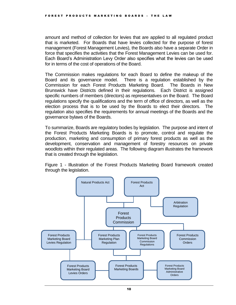amount and method of collection for levies that are applied to all regulated product that is marketed. For Boards that have levies collected for the purpose of forest management (Forest Management Levies), the Boards also have a separate Order in force that specifies the activities that the Forest Management Levies can be used for. Each Board's Administration Levy Order also specifies what the levies can be used for in terms of the cost of operations of the Board.

The Commission makes regulations for each Board to define the makeup of the Board and its governance model. There is a regulation established by the Commission for each Forest Products Marketing Board. The Boards in New Brunswick have Districts defined in their regulations. Each District is assigned specific numbers of members (directors) as representatives on the Board. The Board regulations specify the qualifications and the term of office of directors, as well as the election process that is to be used by the Boards to elect their directors. The regulation also specifies the requirements for annual meetings of the Boards and the governance bylaws of the Boards.

To summarize, Boards are regulatory bodies by legislation. The purpose and intent of the Forest Products Marketing Boards is to promote, control and regulate the production, marketing and consumption of primary forest products as well as the development, conservation and management of forestry resources on private woodlots within their regulated areas. The following diagram illustrates the framework that is created through the legislation.

Figure 1 - Illustration of the Forest Products Marketing Board framework created through the legislation.

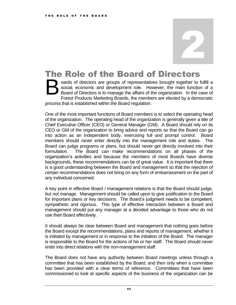### <span id="page-10-0"></span>The Role of the Board of Directors

oards of directors are groups of representatives brought together to fulfill a social, economic and development role. However, the main function of a Board of Directors is to manage the affairs of the organization. In the case of Forest Products Marketing Boards, the members are elected by a democratic process that is established within the Board regulation. B

One of the most important functions of Board members is to select the operating head of the organization. The operating head of the organization is generally given a title of Chief Executive Officer (CEO) or General Manager (GM). A Board should rely on its CEO or GM of the organization to bring advice and reports so that the Board can go into action as an independent body, exercising full and prompt control. Board members should never enter directly into the management role and duties. The Board can judge programs or plans, but should never get directly involved into their formulation. The Board can make recommendations on all phases of the organization's activities and because the members of most Boards have diverse backgrounds, these recommendations can be of great value. It is important that there is a good understanding between the Board and management so that the rejection of certain recommendations does not bring on any form of embarrassment on the part of any individual concerned.

A key point in effective Board / management relations is that the Board should judge, but not manage. Management should be called upon to give justification to the Board for important plans or key decisions. The Board's judgment needs to be competent, sympathetic and rigorous. This type of effective interaction between a Board and management should put any manager at a decided advantage to those who do not use their Board effectively.

It should always be clear between Board and management that nothing goes before the Board except the recommendations, plans and reports of management, whether it is initiated by management or in response to the initiation of the Board. The manager is responsible to the Board for the actions of his or her staff. The Board should never enter into direct relations with the non-management staff.

The Board does not have any authority between Board meetings unless through a committee that has been established by the Board, and then only when a committee has been provided with a clear terms of reference. Committees that have been commissioned to look at specific aspects of the business of the organization can be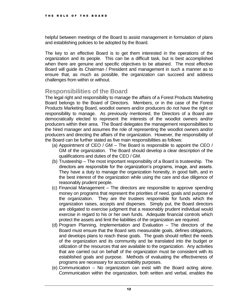helpful between meetings of the Board to assist management in formulation of plans and establishing policies to be adopted by the Board.

The key to an effective Board is to get them interested in the operations of the organization and its people. This can be a difficult task, but is best accomplished when there are genuine and specific objectives to be attained. The most effective Board will guide its Chairman / President and management in such a manner as to ensure that, as much as possible, the organization can succeed and address challenges from within or without.

#### <span id="page-11-0"></span>**Responsibilities of the Board**

The legal right and responsibility to manage the affairs of a Forest Products Marketing Board belongs to the Board of Directors. Members, or in the case of the Forest Products Marketing Board, woodlot owners and/or producers do not have the right or responsibility to manage. As previously mentioned, the Directors of a Board are democratically elected to represent the interests of the woodlot owners and/or producers within their area. The Board delegates the management responsibilities to the hired manager and assumes the role of representing the woodlot owners and/or producers and directing the affairs of the organization. However, the responsibility of the Board can be further stated as five main responsibilities as follows:

- (a) Appointment of CEO / GM The Board is responsible to appoint the CEO / GM of the organization. The Board should develop a clear description of the qualifications and duties of the CEO / GM.
- (b) Trusteeship The most important responsibility of a Board is trusteeship. The directors are responsible for the organization's programs, image, and assets. They have a duty to manage the organization honestly, in good faith, and in the best interest of the organization while using the care and due diligence of reasonably prudent people.
- (c) Financial Management The directors are responsible to approve spending money on programs that represent the priorities of need, goals and purpose of the organization. They are the trustees responsible for funds which the organization raises, accepts and disperses. Simply put, the Board directors are obligated to exercise judgment that a reasonably prudent individual would exercise in regard to his or her own funds. Adequate financial controls which protect the assets and limit the liabilities of the organization are required.
- (d) Program Planning, Implementation and Evaluation The directors of the Board must ensure that the Board sets measurable goals, defines obligations, and develops plans to reach these goals. The goals should reflect the needs of the organization and its community and be translated into the budget or utilization of the resources that are available to the organization. Any activities that are carried out on behalf of the organization must be consistent with its established goals and purpose. Methods of evaluating the effectiveness of programs are necessary for accountability purposes.
- (e) Communication No organization can exist with the Board acting alone. Communication within the organization, both written and verbal, enables the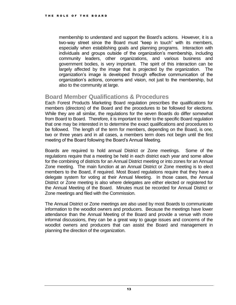membership to understand and support the Board's actions. However, it is a two-way street since the Board must "keep in touch" with its members, especially when establishing goals and planning programs. Interaction with individuals and groups outside of the organization's membership, including community leaders, other organizations, and various business and government bodies, is very important. The spirit of this interaction can be largely affected by the image that is projected by the organization. The organization's image is developed through effective communication of the organization's actions, concerns and vision, not just to the membership, but also to the community at large.

#### <span id="page-12-0"></span>**Board Member Qualifications & Procedures**

Each Forest Products Marketing Board regulation prescribes the qualifications for members (directors) of the Board and the procedures to be followed for elections. While they are all similar, the regulations for the seven Boards do differ somewhat from Board to Board. Therefore, it is important to refer to the specific Board regulation that one may be interested in to determine the exact qualifications and procedures to be followed. The length of the term for members, depending on the Board, is one, two or three years and in all cases, a members term does not begin until the first meeting of the Board following the Board's Annual Meeting.

Boards are required to hold annual District or Zone meetings. Some of the regulations require that a meeting be held in each district each year and some allow for the combining of districts for an Annual District meeting or into zones for an Annual Zone meeting. The main function at an Annual District or Zone meeting is to elect members to the Board, if required. Most Board regulations require that they have a delegate system for voting at their Annual Meeting. In those cases, the Annual District or Zone meeting is also where delegates are either elected or registered for the Annual Meeting of the Board. Minutes must be recorded for Annual District or Zone meetings and filed with the Commission.

The Annual District or Zone meetings are also used by most Boards to communicate information to the woodlot owners and producers. Because the meetings have lower attendance than the Annual Meeting of the Board and provide a venue with more informal discussions, they can be a great way to gauge issues and concerns of the woodlot owners and producers that can assist the Board and management in planning the direction of the organization.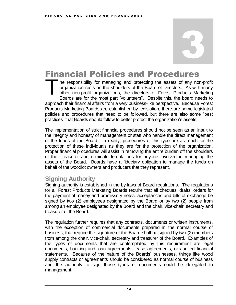### <span id="page-13-0"></span>Financial Policies and Procedures

he responsibility for managing and protecting the assets of any non-profit organization rests on the shoulders of the Board of Directors. As with many other non-profit organizations, the directors of Forest Products Marketing Boards are for the most part "volunteers". Despite this, the board needs to approach their financial affairs from a very business-like perspective. Because Forest Products Marketing Boards are established by legislation, there are some legislated policies and procedures that need to be followed, but there are also some "best practices" that Boards should follow to better protect the organization's assets. T

The implementation of strict financial procedures should not be seen as an insult to the integrity and honesty of management or staff who handle the direct management of the funds of the Board. In reality, procedures of this type are as much for the protection of these individuals as they are for the protection of the organization. Proper financial procedures will assist in removing the entire burden off the shoulders of the Treasurer and eliminate temptations for anyone involved in managing the assets of the Board. Boards have a fiduciary obligation to manage the funds on behalf of the woodlot owners and producers that they represent.

#### <span id="page-13-1"></span>**Signing Authority**

Signing authority is established in the by-laws of Board regulations. The regulations for all Forest Products Marketing Boards require that all cheques, drafts, orders for the payment of money and promissory notes, acceptances and bills of exchange be signed by two (2) employees designated by the Board or by two (2) people from among an employee designated by the Board and the chair, vice-chair, secretary and treasurer of the Board.

The regulation further requires that any contracts, documents or written instruments, with the exception of commercial documents prepared in the normal course of business, that require the signature of the Board shall be signed by two (2) members from among the chair, vice-chair, secretary and treasurer of the Board. Examples of the types of documents that are contemplated by this requirement are legal documents, banking and loan agreements, lease agreements, or audited financial statements. Because of the nature of the Boards' businesses, things like wood supply contracts or agreements should be considered as normal course of business and the authority to sign those types of documents could be delegated to management.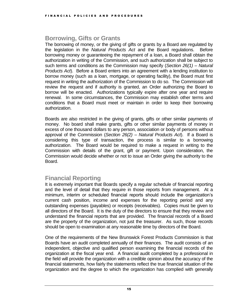#### <span id="page-14-0"></span>**Borrowing, Gifts or Grants**

The borrowing of money, or the giving of gifts or grants by a Board are regulated by the legislation in the *Natural Products Act* and the Board regulations. Before borrowing money or guaranteeing the repayment of a loan, a Board shall obtain the authorization in writing of the Commission, and such authorization shall be subject to such terms and conditions as the Commission may specify (*Section 26(1) – Natural Products Act*). Before a Board enters into an agreement with a lending institution to borrow money (such as a loan, mortgage, or operating facility), the Board must first request in writing the authorization of the Commission to do so. The Commission will review the request and if authority is granted, an Order authorizing the Board to borrow will be enacted. Authorizations typically expire after one year and require renewal. In some circumstances, the Commission may establish other terms and conditions that a Board must meet or maintain in order to keep their borrowing authorization.

Boards are also restricted in the giving of grants, gifts or other similar payments of money. No board shall make grants, gifts or other similar payments of money in excess of one thousand dollars to any person, association or body of persons without approval of the Commission (*Section 26(2) – Natural Products Act*). If a Board is considering this type of transaction, the process is similar to a borrowing authorization. The Board would be required to make a request in writing to the Commission with details of the grant, gift or payment. Upon consideration, the Commission would decide whether or not to issue an Order giving the authority to the Board.

#### <span id="page-14-1"></span>**Financial Reporting**

It is extremely important that Boards specify a regular schedule of financial reporting and the level of detail that they require in those reports from management. At a minimum, interim or scheduled financial reports should include the organization's current cash position, income and expenses for the reporting period and any outstanding expenses (payables) or receipts (receivables). Copies must be given to all directors of the Board. It is the duty of the directors to ensure that they review and understand the financial reports that are provided. The financial records of a Board are the property of the organization, not just the treasurer. As such, those records should be open to examination at any reasonable time by directors of the Board.

One of the requirements of the New Brunswick Forest Products Commission is that Boards have an audit completed annually of their finances. The audit consists of an independent, objective and qualified person examining the financial records of the organization at the fiscal year end. A financial audit completed by a professional in the field will provide the organization with a credible opinion about the accuracy of the financial statements, how fairly the statements reflect the true financial situation of the organization and the degree to which the organization has complied with generally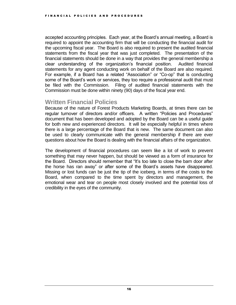accepted accounting principles. Each year, at the Board's annual meeting, a Board is required to appoint the accounting firm that will be conducting the financial audit for the upcoming fiscal year. The Board is also required to present the audited financial statements from the fiscal year that was just completed. The presentation of the financial statements should be done in a way that provides the general membership a clear understanding of the organization's financial position. Audited financial statements for any agent conducting work on behalf of the Board are also required. For example, if a Board has a related "Association" or "Co-op" that is conducting some of the Board's work or services, they too require a professional audit that must be filed with the Commission. Filing of audited financial statements with the Commission must be done within ninety (90) days of the fiscal year end.

#### <span id="page-15-0"></span>**Written Financial Policies**

Because of the nature of Forest Products Marketing Boards, at times there can be regular turnover of directors and/or officers. A written "Policies and Procedures" document that has been developed and adopted by the Board can be a useful guide for both new and experienced directors. It will be especially helpful in times where there is a large percentage of the Board that is new. The same document can also be used to clearly communicate with the general membership if there are ever questions about how the Board is dealing with the financial affairs of the organization.

The development of financial procedures can seem like a lot of work to prevent something that may never happen, but should be viewed as a form of insurance for the Board. Directors should remember that "It's too late to close the barn door after the horse has ran away" or after some of the Board's assets have disappeared. Missing or lost funds can be just the tip of the iceberg, in terms of the costs to the Board, when compared to the time spent by directors and management, the emotional wear and tear on people most closely involved and the potential loss of credibility in the eyes of the community.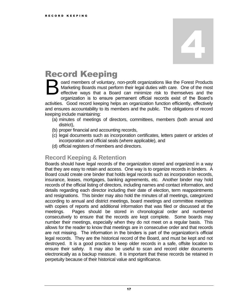## <span id="page-16-0"></span>Record Keeping

oard members of voluntary, non-profit organizations like the Forest Products Marketing Boards must perform their legal duties with care. One of the most effective ways that a Board can minimize risk to themselves and the organization is to ensure permanent official records exist of the Board's activities. Good record keeping helps an organization function efficiently, effectively and ensures accountability to its members and the public. The obligations of record keeping include maintaining: B

- (a) minutes of meetings of directors, committees, members (both annual and district),
- (b) proper financial and accounting records,
- (c) legal documents such as incorporation certificates, letters patent or articles of incorporation and official seals (where applicable), and
- (d) official registers of members and directors.

#### <span id="page-16-1"></span>**Record Keeping & Retention**

Boards should have legal records of the organization stored and organized in a way that they are easy to retain and access. One way is to organize records in binders. A Board could create one binder that holds legal records such as incorporation records, insurance, leases, mortgages, banking agreements, etc. Another binder may hold records of the official listing of directors, including names and contact information, and details regarding each director including their date of election, term reappointments and resignations. This binder may also hold the minutes of all meetings, categorized according to annual and district meetings, board meetings and committee meetings with copies of reports and additional information that was filed or discussed at the meetings. Pages should be stored in chronological order and numbered consecutively to ensure that the records are kept complete. Some boards may number their meetings, especially when they do not meet on a regular basis. This allows for the reader to know that meetings are in consecutive order and that records are not missing. The information in the binders is part of the organization's official legal records. They are the historical record of the Board, and must be kept and not destroyed. It is a good practice to keep older records in a safe, offsite location to ensure their safety. It may also be useful to scan and record older documents electronically as a backup measure. It is important that these records be retained in perpetuity because of their historical value and significance.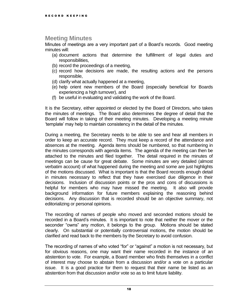#### <span id="page-17-0"></span>**Meeting Minutes**

Minutes of meetings are a very important part of a Board's records. Good meeting minutes will:

- (a) document actions that determine the fulfillment of legal duties and responsibilities,
- (b) record the proceedings of a meeting,
- (c) record how decisions are made, the resulting actions and the persons responsible,
- (d) clarify what actually happened at a meeting,
- (e) help orient new members of the Board (especially beneficial for Boards experiencing a high turnover), and
- (f) be useful in evaluating and validating the work of the Board.

It is the Secretary, either appointed or elected by the Board of Directors, who takes the minutes of meetings. The Board also determines the degree of detail that the Board will follow in taking of their meeting minutes. Developing a meeting minute 'template' may help to maintain consistency in the detail of the minutes.

During a meeting, the Secretary needs to be able to see and hear all members in order to keep an accurate record. They must keep a record of the attendance and absences at the meeting. Agenda items should be numbered, so that numbering in the minutes corresponds with agenda items. The agenda of the meeting can then be attached to the minutes and filed together. The detail required in the minutes of meetings can be cause for great debate. Some minutes are very detailed (almost verbatim account) of what happened during the meeting and some are just highlights of the motions discussed. What is important is that the Board records enough detail in minutes necessary to reflect that they have exercised due diligence in their decisions. Inclusion of discussion points or the pros and cons of discussions is helpful for members who may have missed the meeting. It also will provide background information for future members explaining the reasoning behind decisions. Any discussion that is recorded should be an objective summary, not editorializing or personal opinions.

The recording of names of people who moved and seconded motions should be recorded in a Board's minutes. It is important to note that neither the mover or the seconder "owns" any motion, it belongs to the group. Motions should be stated clearly. On substantial or potentially controversial motions, the motion should be clarified and read back to the members by the Secretary to avoid confusion.

The recording of names of who voted "for" or "against" a motion is not necessary, but for obvious reasons, one may want their name recorded in the instance of an abstention to vote. For example, a Board member who finds themselves in a conflict of interest may choose to abstain from a discussion and/or a vote on a particular issue. It is a good practice for them to request that their name be listed as an abstention from that discussion and/or vote so as to limit future liability.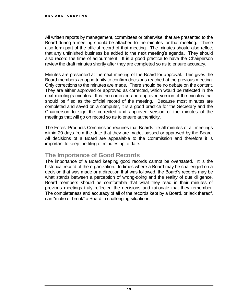All written reports by management, committees or otherwise, that are presented to the Board during a meeting should be attached to the minutes for that meeting. These also form part of the official record of that meeting. The minutes should also reflect that any unfinished business be added to the next meeting's agenda. They should also record the time of adjournment. It is a good practice to have the Chairperson review the draft minutes shortly after they are completed so as to ensure accuracy.

Minutes are presented at the next meeting of the Board for approval. This gives the Board members an opportunity to confirm decisions reached at the previous meeting. Only corrections to the minutes are made. There should be no debate on the content. They are either approved or approved as corrected, which would be reflected in the next meeting's minutes. It is the corrected and approved version of the minutes that should be filed as the official record of the meeting. Because most minutes are completed and saved on a computer, it is a good practice for the Secretary and the Chairperson to sign the corrected and approved version of the minutes of the meetings that will go on record so as to ensure authenticity.

The Forest Products Commission requires that Boards file all minutes of all meetings within 20 days from the date that they are made, passed or approved by the Board. All decisions of a Board are appealable to the Commission and therefore it is important to keep the filing of minutes up to date.

#### **The Importance of Good Records**

The importance of a Board keeping good records cannot be overstated. It is the historical record of the organization. In times where a Board may be challenged on a decision that was made or a direction that was followed, the Board's records may be what stands between a perception of wrong-doing and the reality of due diligence. Board members should be comfortable that what they read in their minutes of previous meetings truly reflected the decisions and rationale that they remember. The completeness and accuracy of all of the records kept by a Board, or lack thereof, can "make or break" a Board in challenging situations.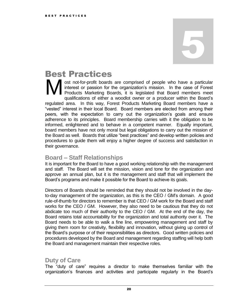### <span id="page-19-0"></span>Best Practices

ost not-for-profit boards are comprised of people who have a particular interest or passion for the organization's mission. In the case of Forest Products Marketing Boards, it is legislated that Board members meet qualifications of either a woodlot owner or a producer within the Board's regulated area. In this way, Forest Products Marketing Board members have a "vested" interest in their local Board. Board members are elected from among their peers, with the expectation to carry out the organization's goals and ensure adherence to its principles. Board membership carries with it the obligation to be informed, enlightened and to behave in a competent manner. Equally important, board members have not only moral but legal obligations to carry out the mission of the Board as well. Boards that utilize "best practices" and develop written policies and procedures to guide them will enjoy a higher degree of success and satisfaction in their governance. M

#### <span id="page-19-1"></span>**Board – Staff Relationships**

It is important for the Board to have a good working relationship with the management and staff. The Board will set the mission, vision and tone for the organization and approve an annual plan, but it is the management and staff that will implement the Board's programs and make it possible for the Board to achieve its goals.

Directors of Boards should be reminded that they should not be involved in the dayto-day management of the organization, as this is the CEO / GM's domain. A good rule-of-thumb for directors to remember is that CEO / GM work for the Board and staff works for the CEO / GM. However, they also need to be cautious that they do not abdicate too much of their authority to the CEO / GM. At the end of the day, the Board retains total accountability for the organization and total authority over it. The Board needs to be able to walk a fine line, empowering management and staff by giving them room for creativity, flexibility and innovation, without giving up control of the Board's purpose or of their responsibilities as directors. Good written policies and procedures developed by the Board and management regarding staffing will help both the Board and management maintain their respective roles.

#### <span id="page-19-2"></span>**Duty of Care**

The "duty of care" requires a director to make themselves familiar with the organization's finances and activities and participate regularly in the Board's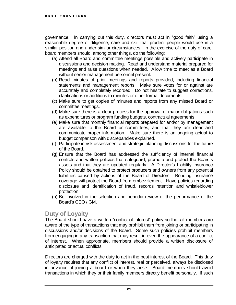governance. In carrying out this duty, directors must act in "good faith" using a reasonable degree of diligence, care and skill that prudent people would use in a similar position and under similar circumstances. In the exercise of the duty of care, board members should, among other things, do the following:

- (a) Attend all Board and committee meetings possible and actively participate in discussions and decision making. Read and understand material prepared for meetings and raise questions when needed. Allow time to meet as a Board without senior management personnel present.
- (b) Read minutes of prior meetings and reports provided, including financial statements and management reports. Make sure votes for or against are accurately and completely recorded. Do not hesitate to suggest corrections, clarifications or additions to minutes or other formal documents.
- (c) Make sure to get copies of minutes and reports from any missed Board or committee meetings.
- (d) Make sure there is a clear process for the approval of major obligations such as expenditures or program funding budgets, contractual agreements.
- (e) Make sure that monthly financial reports prepared for and/or by management are available to the Board or committees, and that they are clear and communicate proper information. Make sure there is an ongoing actual to budget comparison with discrepancies explained.
- (f) Participate in risk assessment and strategic planning discussions for the future of the Board.
- (g) Ensure that the Board has addressed the sufficiency of internal financial controls and written policies that safeguard, promote and protect the Board's assets and that they are updated regularly. A Director's Liability Insurance Policy should be obtained to protect producers and owners from any potential liabilities caused by actions of the Board of Directors. Bonding insurance coverage will protect the Board from embezzlement. Have policies regarding disclosure and identification of fraud, records retention and whistleblower protection.
- (h) Be involved in the selection and periodic review of the performance of the Board's CEO / GM.

#### <span id="page-20-0"></span>**Duty of Loyalty**

The Board should have a written "conflict of interest" policy so that all members are aware of the type of transactions that may prohibit them from joining or participating in discussions and/or decisions of the Board. Some such policies prohibit members from engaging in any transaction that may result in even the appearance of a conflict of interest. When appropriate, members should provide a written disclosure of anticipated or actual conflicts.

Directors are charged with the duty to act in the best interest of the Board. This duty of loyalty requires that any conflict of interest, real or perceived, always be disclosed in advance of joining a board or when they arise. Board members should avoid transactions in which they or their family members directly benefit personally. If such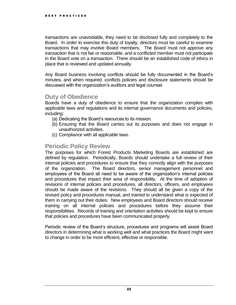transactions are unavoidable, they need to be disclosed fully and completely to the Board. In order to exercise this duty of loyalty, directors must be careful to examine transactions that may involve Board members. The Board must not approve any transaction that is not fair or reasonable, and a conflicted member must not participate in the Board vote on a transaction. There should be an established code of ethics in place that is reviewed and updated annually.

Any Board business involving conflicts should be fully documented in the Board's minutes, and when required, conflicts policies and disclosure statements should be discussed with the organization's auditors and legal counsel.

#### <span id="page-21-0"></span>**Duty of Obedience**

Boards have a duty of obedience to ensure that the organization complies with applicable laws and regulations and its internal governance documents and policies, including:

- (a) Dedicating the Board's resources to its mission.
- (b) Ensuring that the Board carries out its purposes and does not engage in unauthorized activities.
- (c) Compliance with all applicable laws.

#### <span id="page-21-1"></span>**Periodic Policy Review**

The purposes for which Forest Products Marketing Boards are established are defined by regulation. Periodically, Boards should undertake a full review of their internal policies and procedures to ensure that they correctly align with the purposes of the organization. The Board directors, senior management personnel and employees of the Board all need to be aware of the organization's internal policies and procedures that impact their area of responsibility. At the time of adoption of revisions of internal policies and procedures, all directors, officers, and employees should be made aware of the revisions. They should all be given a copy of the revised policy and procedures manual, and trained to understand what is expected of them in carrying out their duties. New employees and Board directors should receive training on all internal policies and procedures before they assume their responsibilities. Records of training and orientation activities should be kept to ensure that policies and procedures have been communicated properly.

Periodic review of the Board's structure, procedures and programs will assist Board directors in determining what is working well and what practices the Board might want to change in order to be more efficient, effective or responsible.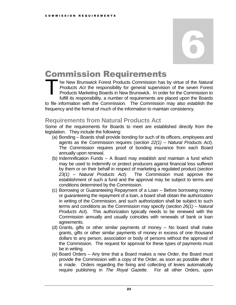### <span id="page-22-0"></span>Commission Requirements

he New Brunswick Forest Products Commission has by virtue of the *Natural Products Act* the responsibility for general supervision of the seven Forest Products Marketing Boards in New Brunswick. In order for the Commission to fulfill its responsibility, a number of requirements are placed upon the Boards to file information with the Commission. The Commission may also establish the frequency and the format of much of the information to maintain consistency. T

#### <span id="page-22-1"></span>**Requirements from Natural Products Act**

Some of the requirements for Boards to meet are established directly from the legislation. They include the following:

- (a) Bonding Boards shall provide bonding for such of its officers, employees and agents as the Commission requires (*section 22(1) – Natural Products Act*). The Commission requires proof of bonding insurance from each Board annually upon renewal.
- (b) Indemnification Funds A Board may establish and maintain a fund which may be used to indemnify or protect producers against financial loss suffered by them or on their behalf in respect of marketing a regulated product (*section 23(1) – Natural Products Act*). The Commission must approve the establishment of such a fund and the approval may be subject to terms and conditions determined by the Commission.
- (c) Borrowing or Guaranteeing Repayment of a Loan Before borrowing money or guaranteeing the repayment of a loan, a board shall obtain the authorization in writing of the Commission, and such authorization shall be subject to such terms and conditions as the Commission may specify (*section 26(1) – Natural Products Act*). This authorization typically needs to be renewed with the Commission annually and usually coincides with renewals of bank or loan agreements.
- (d) Grants, gifts or other similar payments of money No board shall make grants, gifts or other similar payments of money in excess of one thousand dollars to any person, association or body of persons without the approval of the Commission. The request for approval for these types of payments must be in writing.
- (e) Board Orders Any time that a Board makes a new Order, the Board must provide the Commission with a copy of the Order, as soon as possible after it is made. Orders regarding the fixing and collecting of levies automatically require publishing in *The Royal Gazette*. For all other Orders, upon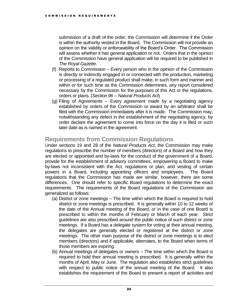submission of a draft of the order, the Commission will determine if the Order is within the authority vested in the Board. The Commission will not provide an opinion on the validity or enforceability of the Board's Order. The Commission will assess whether it has general application or not. Orders that in the opinion of the Commission have general application will be required to be published in *The Royal Gazette*.

- (f) Reports to Commission Every person who in the opinion of the Commission is directly or indirectly engaged in or connected with the production, marketing or processing of a regulated product shall make, in such form and manner and within or for such time as the Commission determines, any report considered necessary by the Commission for the purposes of this Act or the regulations, orders or plans. (*Section 96 – Natural Products Act*)
- (g) Filing of Agreements Every agreement made by a negotiating agency established by orders of the Commission or award by an arbitrator shall be filed with the Commission immediately after it is made. The Commission may, notwithstanding any defect in the establishment of the negotiating agency, by order declare the agreement to come into force on the day it is filed or such later date as is named in the agreement.

#### <span id="page-23-0"></span>**Requirements from Commission Regulations**

Under sections 19 and 28 of the *Natural Products Act*, the Commission may make regulations to prescribe the number of members (directors) of a Board and how they are elected or appointed and by-laws for the conduct of the government of a Board, provide for the establishment of advisory committees, empowering a Board to make by-laws not inconsistent with the Act, regulations or plan, and vesting of certain powers in a Board, including appointing officers and employees. The Board regulations that the Commission has made are similar, however, there are some differences. One should refer to specific Board regulations to determine the exact requirements. The requirements of the Board regulations of the Commission are generalized as follows:

- (a) District or zone meetings The time within which the Board is required to hold district or zone meetings is prescribed. It is generally within 10 to 12 weeks of the date of the Annual meeting of the Board, or in the case of one Board is prescribed to within the months of February or March of each year. Strict guidelines are also prescribed around the public notice of such district or zone meetings. If a Board has a delegate system for voting at their annual meeting, the delegates are generally elected or registered at the district or zone meetings. The other main purpose of the district or zone meetings is to elect members (directors) and if applicable, alternates, to the Board when terms of those members are expiring.
- (b) Annual meetings of delegates or owners The time within which the Board is required to hold their annual meeting is prescribed. It is generally within the months of April, May or June. The regulation also establishes strict guidelines with respect to public notice of the annual meeting of the Board. It also establishes the requirement of the Board to present a report of activities and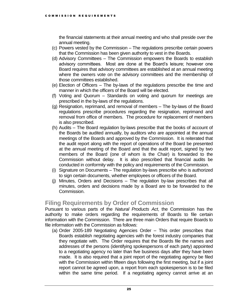the financial statements at their annual meeting and who shall preside over the annual meeting.

- (c) Powers vested by the Commission The regulations prescribe certain powers that the Commission has been given authority to vest in the Boards.
- (d) Advisory Committees The Commission empowers the Boards to establish advisory committees. Most are done at the Board's leisure; however one Board requires that advisory committees are established at an annual meeting where the owners vote on the advisory committees and the membership of those committees established.
- (e) Election of Officers The by-laws of the regulations prescribe the time and manner in which the officers of the Board will be elected.
- (f) Voting and Quorum Standards on voting and quorum for meetings are prescribed in the by-laws of the regulations.
- (g) Resignation, reprimand, and removal of members The by-laws of the Board regulations prescribe procedures regarding the resignation, reprimand and removal from office of members. The procedure for replacement of members is also prescribed.
- (h) Audits The Board regulation by-laws prescribe that the books of account of the Boards be audited annually, by auditors who are appointed at the annual meetings of the Boards and approved by the Commission. It is reiterated that the audit report along with the report of operations of the Board be presented at the annual meeting of the Board and that the audit report, signed by two members of the Board (one of whom is the Chair) is forwarded to the Commission without delay. It is also prescribed that financial audits be conducted in conformity with the policy and requirements of the Commission.
- (i) Signature on Documents The regulation by-laws prescribe who is authorized to sign certain documents, whether employees or officers of the Board.
- (j) Minutes, Orders and Decisions The regulation by-law prescribes that all minutes, orders and decisions made by a Board are to be forwarded to the Commission.

#### <span id="page-24-0"></span>**Filing Requirements by Order of Commission**

Pursuant to various parts of the *Natural Products Act*, the Commission has the authority to make orders regarding the requirements of Boards to file certain information with the Commission. There are three main Orders that require Boards to file information with the Commission as follows:

(a) Order 2005-189 Negotiating Agencies Order – This order prescribes that Boards establish negotiating agencies with the forest industry companies that they negotiate with. The Order requires that the Boards file the names and addresses of the persons (identifying spokespersons of each party) appointed to a negotiating agency no later than five business days after they have been made. It is also required that a joint report of the negotiating agency be filed with the Commission within fifteen days following the first meeting, but if a joint report cannot be agreed upon, a report from each spokesperson is to be filed within the same time period. If a negotiating agency cannot arrive at an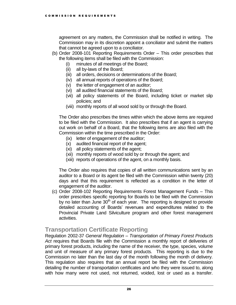agreement on any matters, the Commission shall be notified in writing. The Commission may in its discretion appoint a conciliator and submit the matters that cannot be agreed upon to a conciliator.

- (b) Order 2008-101 Reporting Requirements Order This order prescribes that the following items shall be filed with the Commission:
	- (i) minutes of all meetings of the Board;
	- (ii) all by-laws of the Board;
	- (iii) all orders, decisions or determinations of the Board;
	- (iv) all annual reports of operations of the Board;
	- (v) the letter of engagement of an auditor;
	- (vi) all audited financial statements of the Board;
	- (vii) all policy statements of the Board, including ticket or market slip policies; and
	- (viii) monthly reports of all wood sold by or through the Board.

The Order also prescribes the times within which the above items are required to be filed with the Commission. It also prescribes that if an agent is carrying out work on behalf of a Board, that the following items are also filed with the Commission within the time prescribed in the Order:

- (ix) letter of engagement of the auditor;
- (x) audited financial report of the agent;
- (xi) all policy statements of the agent;
- (xii) monthly reports of wood sold by or through the agent; and
- (xiii) reports of operations of the agent, on a monthly basis.

The Order also requires that copies of all written communications sent by an auditor to a Board or its agent be filed with the Commission within twenty (20) days and that this requirement is reflected as a condition in the letter of engagement of the auditor.

(c) Order 2008-102 Reporting Requirements Forest Management Funds – This order prescribes specific reporting for Boards to be filed with the Commission by no later than June  $30<sup>th</sup>$  of each year. The reporting is designed to provide detailed accounting of Boards' revenues and expenditures related to the Provincial Private Land Silviculture program and other forest management activities.

#### <span id="page-25-0"></span>**Transportation Certificate Reporting**

Regulation 2002-37 *General Regulation – Transportation of Primary Forest Products Act* requires that Boards file with the Commission a monthly report of deliveries of primary forest products, including the name of the receiver, the type, species, volume and unit of measure of any primary forest products. This reporting is due to the Commission no later than the last day of the month following the month of delivery. This regulation also requires that an annual report be filed with the Commission detailing the number of transportation certificates and who they were issued to, along with how many were not used, not returned, voided, lost or used as a transfer.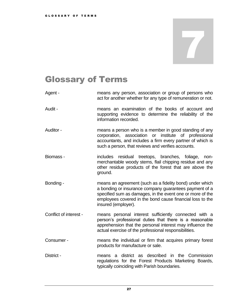### <span id="page-26-0"></span>Glossary of Terms

- Agent means any person, association or group of persons who act for another whether for any type of remuneration or not.
- Audit means an examination of the books of account and supporting evidence to determine the reliability of the information recorded.
- Auditor means a person who is a member in good standing of any corporation, association or institute of professional accountants, and includes a firm every partner of which is such a person, that reviews and verifies accounts.
- Biomass includes residual treetops, branches, foliage, nonmerchantable woody stems, flail chipping residue and any other residue products of the forest that are above the ground.
- Bonding means an agreement (such as a fidelity bond) under which a bonding or insurance company guarantees payment of a specified sum as damages, in the event one or more of the employees covered in the bond cause financial loss to the insured (employer).
- Conflict of interest means personal interest sufficiently connected with a person's professional duties that there is a reasonable apprehension that the personal interest may influence the actual exercise of the professional responsibilities.
- Consumer means the individual or firm that acquires primary forest products for manufacture or sale.
- District means a district as described in the Commission regulations for the Forest Products Marketing Boards, typically coinciding with Parish boundaries.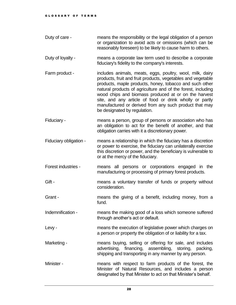- Duty of care means the responsibility or the legal obligation of a person or organization to avoid acts or omissions (which can be reasonably foreseen) to be likely to cause harm to others.
- Duty of loyalty means a corporate law term used to describe a corporate fiduciary's fidelity to the company's interests.
- Farm product includes animals, meats, eggs, poultry, wool, milk, dairy products, fruit and fruit products, vegetables and vegetable products, maple products, honey, tobacco and such other natural products of agriculture and of the forest, including wood chips and biomass produced at or on the harvest site, and any article of food or drink wholly or partly manufactured or derived from any such product that may be designated by regulation.
- Fiduciary means a person, group of persons or association who has an obligation to act for the benefit of another, and that obligation carries with it a discretionary power.
- Fiduciary obligation means a relationship in which the fiduciary has a discretion or power to exercise, the fiduciary can unilaterally exercise this discretion or power, and the beneficiary is vulnerable to or at the mercy of the fiduciary.
- Forest industries means all persons or corporations engaged in the manufacturing or processing of primary forest products.
- Gift The means a voluntary transfer of funds or property without consideration.
- Grant The means the giving of a benefit, including money, from a fund.
- Indemnification means the making good of a loss which someone suffered through another's act or default.
- Levy means the execution of legislative power which charges on a person or property the obligation of or liability for a tax.
- Marketing means buying, selling or offering for sale, and includes advertising, financing, assembling, storing, packing, shipping and transporting in any manner by any person.
- Minister means with respect to farm products of the forest, the Minister of Natural Resources, and includes a person designated by that Minister to act on that Minister's behalf.